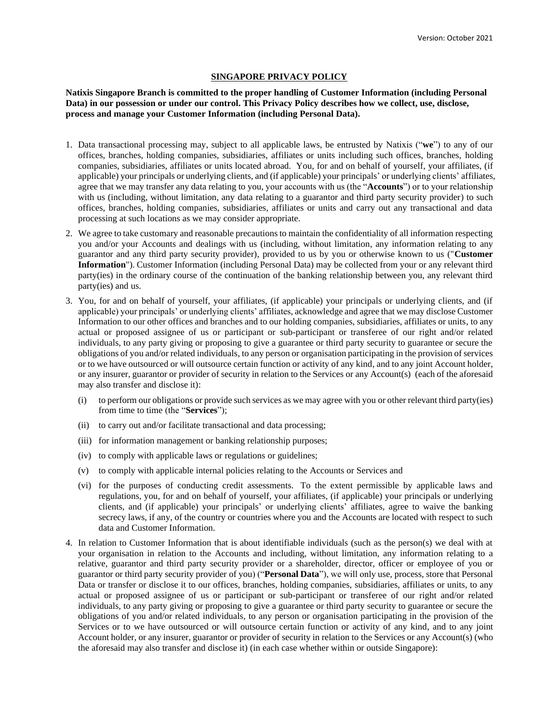## **SINGAPORE PRIVACY POLICY**

**Natixis Singapore Branch is committed to the proper handling of Customer Information (including Personal Data) in our possession or under our control. This Privacy Policy describes how we collect, use, disclose, process and manage your Customer Information (including Personal Data).**

- 1. Data transactional processing may, subject to all applicable laws, be entrusted by Natixis ("**we**") to any of our offices, branches, holding companies, subsidiaries, affiliates or units including such offices, branches, holding companies, subsidiaries, affiliates or units located abroad. You, for and on behalf of yourself, your affiliates, (if applicable) your principals or underlying clients, and (if applicable) your principals' or underlying clients' affiliates, agree that we may transfer any data relating to you, your accounts with us (the "**Accounts**") or to your relationship with us (including, without limitation, any data relating to a guarantor and third party security provider) to such offices, branches, holding companies, subsidiaries, affiliates or units and carry out any transactional and data processing at such locations as we may consider appropriate.
- 2. We agree to take customary and reasonable precautions to maintain the confidentiality of all information respecting you and/or your Accounts and dealings with us (including, without limitation, any information relating to any guarantor and any third party security provider), provided to us by you or otherwise known to us ("**Customer Information**"). Customer Information (including Personal Data) may be collected from your or any relevant third party(ies) in the ordinary course of the continuation of the banking relationship between you, any relevant third party(ies) and us.
- 3. You, for and on behalf of yourself, your affiliates, (if applicable) your principals or underlying clients, and (if applicable) your principals' or underlying clients' affiliates, acknowledge and agree that we may disclose Customer Information to our other offices and branches and to our holding companies, subsidiaries, affiliates or units, to any actual or proposed assignee of us or participant or sub-participant or transferee of our right and/or related individuals, to any party giving or proposing to give a guarantee or third party security to guarantee or secure the obligations of you and/or related individuals, to any person or organisation participating in the provision of services or to we have outsourced or will outsource certain function or activity of any kind, and to any joint Account holder, or any insurer, guarantor or provider of security in relation to the Services or any Account(s) (each of the aforesaid may also transfer and disclose it):
	- (i) to perform our obligations or provide such services as we may agree with you or other relevant third party(ies) from time to time (the "**Services**");
	- (ii) to carry out and/or facilitate transactional and data processing;
	- (iii) for information management or banking relationship purposes;
	- (iv) to comply with applicable laws or regulations or guidelines;
	- (v) to comply with applicable internal policies relating to the Accounts or Services and
	- (vi) for the purposes of conducting credit assessments. To the extent permissible by applicable laws and regulations, you, for and on behalf of yourself, your affiliates, (if applicable) your principals or underlying clients, and (if applicable) your principals' or underlying clients' affiliates, agree to waive the banking secrecy laws, if any, of the country or countries where you and the Accounts are located with respect to such data and Customer Information.
- 4. In relation to Customer Information that is about identifiable individuals (such as the person(s) we deal with at your organisation in relation to the Accounts and including, without limitation, any information relating to a relative, guarantor and third party security provider or a shareholder, director, officer or employee of you or guarantor or third party security provider of you) ("**Personal Data**"), we will only use, process, store that Personal Data or transfer or disclose it to our offices, branches, holding companies, subsidiaries, affiliates or units, to any actual or proposed assignee of us or participant or sub-participant or transferee of our right and/or related individuals, to any party giving or proposing to give a guarantee or third party security to guarantee or secure the obligations of you and/or related individuals, to any person or organisation participating in the provision of the Services or to we have outsourced or will outsource certain function or activity of any kind, and to any joint Account holder, or any insurer, guarantor or provider of security in relation to the Services or any Account(s) (who the aforesaid may also transfer and disclose it) (in each case whether within or outside Singapore):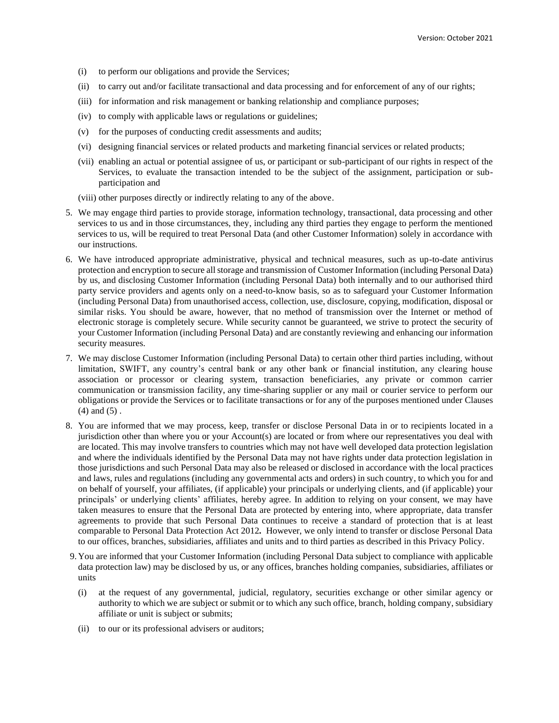- (i) to perform our obligations and provide the Services;
- (ii) to carry out and/or facilitate transactional and data processing and for enforcement of any of our rights;
- (iii) for information and risk management or banking relationship and compliance purposes;
- (iv) to comply with applicable laws or regulations or guidelines;
- (v) for the purposes of conducting credit assessments and audits;
- (vi) designing financial services or related products and marketing financial services or related products;
- (vii) enabling an actual or potential assignee of us, or participant or sub-participant of our rights in respect of the Services, to evaluate the transaction intended to be the subject of the assignment, participation or subparticipation and
- (viii) other purposes directly or indirectly relating to any of the above.
- 5. We may engage third parties to provide storage, information technology, transactional, data processing and other services to us and in those circumstances, they, including any third parties they engage to perform the mentioned services to us, will be required to treat Personal Data (and other Customer Information) solely in accordance with our instructions.
- 6. We have introduced appropriate administrative, physical and technical measures, such as up-to-date antivirus protection and encryption to secure all storage and transmission of Customer Information (including Personal Data) by us, and disclosing Customer Information (including Personal Data) both internally and to our authorised third party service providers and agents only on a need-to-know basis, so as to safeguard your Customer Information (including Personal Data) from unauthorised access, collection, use, disclosure, copying, modification, disposal or similar risks. You should be aware, however, that no method of transmission over the Internet or method of electronic storage is completely secure. While security cannot be guaranteed, we strive to protect the security of your Customer Information (including Personal Data) and are constantly reviewing and enhancing our information security measures.
- 7. We may disclose Customer Information (including Personal Data) to certain other third parties including, without limitation, SWIFT, any country's central bank or any other bank or financial institution, any clearing house association or processor or clearing system, transaction beneficiaries, any private or common carrier communication or transmission facility, any time-sharing supplier or any mail or courier service to perform our obligations or provide the Services or to facilitate transactions or for any of the purposes mentioned under Clauses (4) and (5) .
- 8. You are informed that we may process, keep, transfer or disclose Personal Data in or to recipients located in a jurisdiction other than where you or your Account(s) are located or from where our representatives you deal with are located. This may involve transfers to countries which may not have well developed data protection legislation and where the individuals identified by the Personal Data may not have rights under data protection legislation in those jurisdictions and such Personal Data may also be released or disclosed in accordance with the local practices and laws, rules and regulations (including any governmental acts and orders) in such country, to which you for and on behalf of yourself, your affiliates, (if applicable) your principals or underlying clients, and (if applicable) your principals' or underlying clients' affiliates, hereby agree. In addition to relying on your consent, we may have taken measures to ensure that the Personal Data are protected by entering into, where appropriate, data transfer agreements to provide that such Personal Data continues to receive a standard of protection that is at least comparable to Personal Data Protection Act 2012*.* However, we only intend to transfer or disclose Personal Data to our offices, branches, subsidiaries, affiliates and units and to third parties as described in this Privacy Policy.
- 9. You are informed that your Customer Information (including Personal Data subject to compliance with applicable data protection law) may be disclosed by us, or any offices, branches holding companies, subsidiaries, affiliates or units
	- (i) at the request of any governmental, judicial, regulatory, securities exchange or other similar agency or authority to which we are subject or submit or to which any such office, branch, holding company, subsidiary affiliate or unit is subject or submits;
	- (ii) to our or its professional advisers or auditors;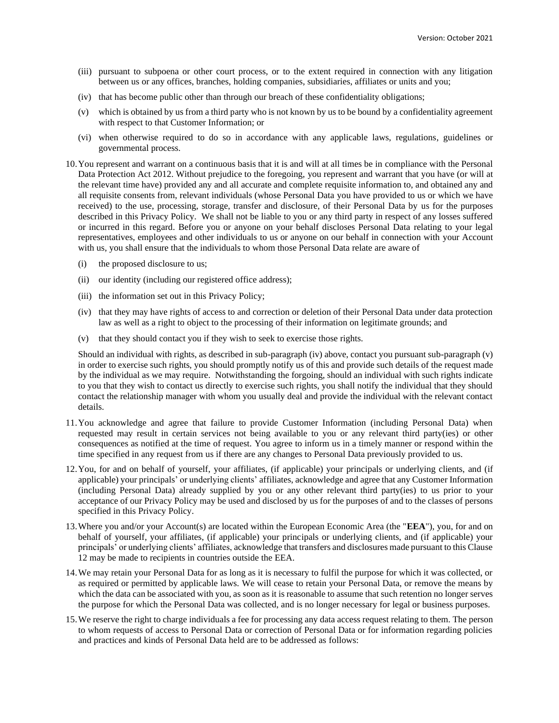- (iii) pursuant to subpoena or other court process, or to the extent required in connection with any litigation between us or any offices, branches, holding companies, subsidiaries, affiliates or units and you;
- (iv) that has become public other than through our breach of these confidentiality obligations;
- (v) which is obtained by us from a third party who is not known by us to be bound by a confidentiality agreement with respect to that Customer Information; or
- (vi) when otherwise required to do so in accordance with any applicable laws, regulations, guidelines or governmental process.
- 10.You represent and warrant on a continuous basis that it is and will at all times be in compliance with the Personal Data Protection Act 2012. Without prejudice to the foregoing, you represent and warrant that you have (or will at the relevant time have) provided any and all accurate and complete requisite information to, and obtained any and all requisite consents from, relevant individuals (whose Personal Data you have provided to us or which we have received) to the use, processing, storage, transfer and disclosure, of their Personal Data by us for the purposes described in this Privacy Policy. We shall not be liable to you or any third party in respect of any losses suffered or incurred in this regard. Before you or anyone on your behalf discloses Personal Data relating to your legal representatives, employees and other individuals to us or anyone on our behalf in connection with your Account with us, you shall ensure that the individuals to whom those Personal Data relate are aware of
	- (i) the proposed disclosure to us;
	- (ii) our identity (including our registered office address);
	- (iii) the information set out in this Privacy Policy;
	- (iv) that they may have rights of access to and correction or deletion of their Personal Data under data protection law as well as a right to object to the processing of their information on legitimate grounds; and
	- (v) that they should contact you if they wish to seek to exercise those rights.

Should an individual with rights, as described in sub-paragraph (iv) above, contact you pursuant sub-paragraph (v) in order to exercise such rights, you should promptly notify us of this and provide such details of the request made by the individual as we may require. Notwithstanding the forgoing, should an individual with such rights indicate to you that they wish to contact us directly to exercise such rights, you shall notify the individual that they should contact the relationship manager with whom you usually deal and provide the individual with the relevant contact details.

- 11.You acknowledge and agree that failure to provide Customer Information (including Personal Data) when requested may result in certain services not being available to you or any relevant third party(ies) or other consequences as notified at the time of request. You agree to inform us in a timely manner or respond within the time specified in any request from us if there are any changes to Personal Data previously provided to us.
- 12.You, for and on behalf of yourself, your affiliates, (if applicable) your principals or underlying clients, and (if applicable) your principals' or underlying clients' affiliates, acknowledge and agree that any Customer Information (including Personal Data) already supplied by you or any other relevant third party(ies) to us prior to your acceptance of our Privacy Policy may be used and disclosed by us for the purposes of and to the classes of persons specified in this Privacy Policy.
- 13.Where you and/or your Account(s) are located within the European Economic Area (the "**EEA**"), you, for and on behalf of yourself, your affiliates, (if applicable) your principals or underlying clients, and (if applicable) your principals' or underlying clients' affiliates, acknowledge that transfers and disclosures made pursuant to this Clause 12 may be made to recipients in countries outside the EEA.
- 14.We may retain your Personal Data for as long as it is necessary to fulfil the purpose for which it was collected, or as required or permitted by applicable laws. We will cease to retain your Personal Data, or remove the means by which the data can be associated with you, as soon as it is reasonable to assume that such retention no longer serves the purpose for which the Personal Data was collected, and is no longer necessary for legal or business purposes.
- 15.We reserve the right to charge individuals a fee for processing any data access request relating to them. The person to whom requests of access to Personal Data or correction of Personal Data or for information regarding policies and practices and kinds of Personal Data held are to be addressed as follows: